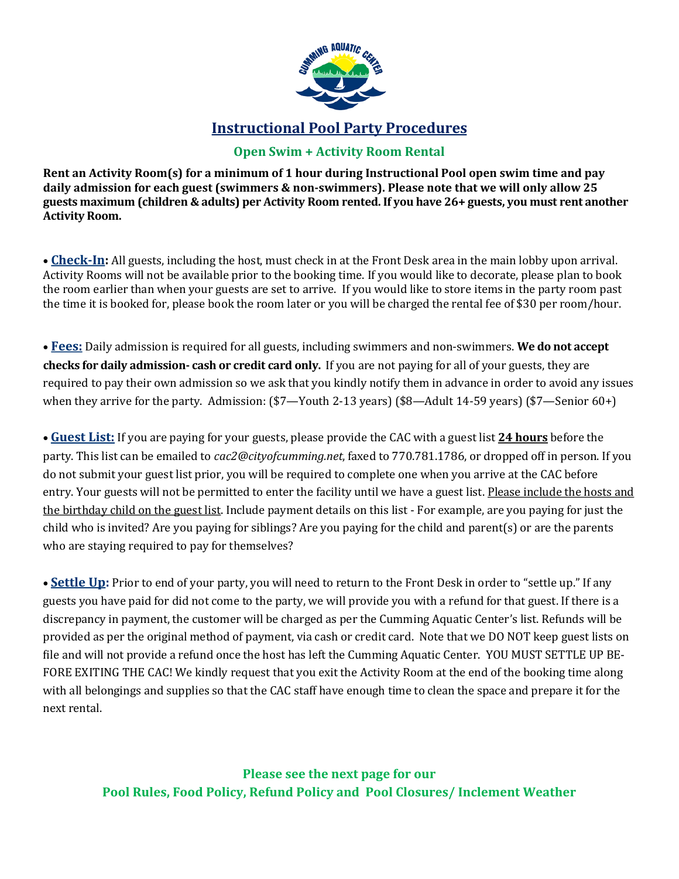

## **Instructional Pool Party Procedures**

### **Open Swim + Activity Room Rental**

**Rent an Activity Room(s) for a minimum of 1 hour during Instructional Pool open swim time and pay daily admission for each guest (swimmers & non-swimmers). Please note that we will only allow 25 guests maximum (children & adults) per Activity Room rented. If you have 26+ guests, you must rent another Activity Room.** 

• **Check-In:** All guests, including the host, must check in at the Front Desk area in the main lobby upon arrival. Activity Rooms will not be available prior to the booking time. If you would like to decorate, please plan to book the room earlier than when your guests are set to arrive. If you would like to store items in the party room past the time it is booked for, please book the room later or you will be charged the rental fee of \$30 per room/hour.

• **Fees:** Daily admission is required for all guests, including swimmers and non-swimmers. **We do not accept checks for daily admission- cash or credit card only.** If you are not paying for all of your guests, they are required to pay their own admission so we ask that you kindly notify them in advance in order to avoid any issues when they arrive for the party. Admission: (\$7—Youth 2-13 years) (\$8—Adult 14-59 years) (\$7—Senior 60+)

• **Guest List:** If you are paying for your guests, please provide the CAC with a guest list **24 hours** before the party. This list can be emailed to *cac2@cityofcumming.net*, faxed to 770.781.1786, or dropped off in person. If you do not submit your guest list prior, you will be required to complete one when you arrive at the CAC before entry. Your guests will not be permitted to enter the facility until we have a guest list. Please include the hosts and the birthday child on the guest list. Include payment details on this list - For example, are you paying for just the child who is invited? Are you paying for siblings? Are you paying for the child and parent(s) or are the parents who are staying required to pay for themselves?

• **Settle Up:** Prior to end of your party, you will need to return to the Front Desk in order to "settle up." If any guests you have paid for did not come to the party, we will provide you with a refund for that guest. If there is a discrepancy in payment, the customer will be charged as per the Cumming Aquatic Center's list. Refunds will be provided as per the original method of payment, via cash or credit card. Note that we DO NOT keep guest lists on file and will not provide a refund once the host has left the Cumming Aquatic Center. YOU MUST SETTLE UP BE-FORE EXITING THE CAC! We kindly request that you exit the Activity Room at the end of the booking time along with all belongings and supplies so that the CAC staff have enough time to clean the space and prepare it for the next rental.

**Please see the next page for our Pool Rules, Food Policy, Refund Policy and Pool Closures/ Inclement Weather**